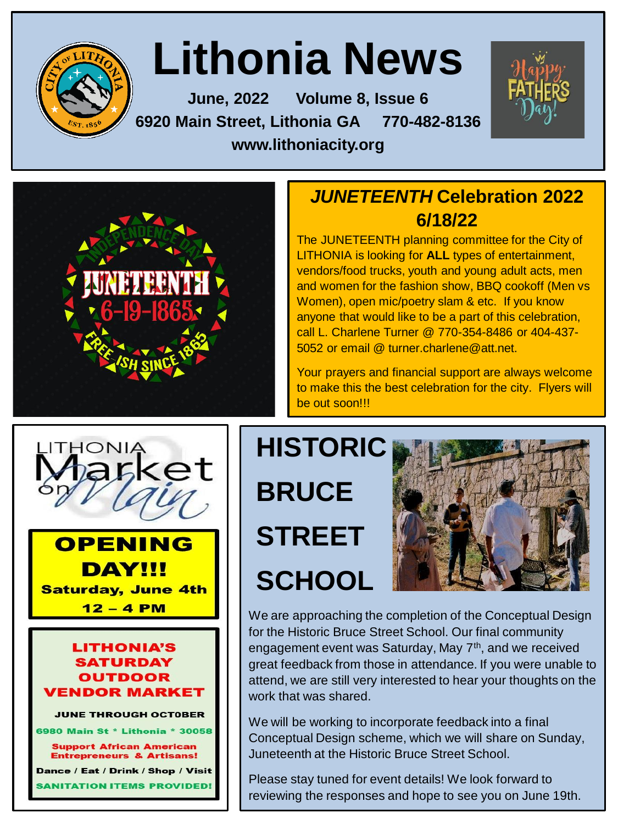

# **Lithonia News**

**June, 2022 Volume 8, Issue 6 6920 Main Street, Lithonia GA 770-482-8136 www.lithoniacity.org**



### *JUNETEENTH* **Celebration 2022 6/18/22**

The JUNETEENTH planning committee for the City of LITHONIA is looking for **ALL** types of entertainment, vendors/food trucks, youth and young adult acts, men and women for the fashion show, BBQ cookoff (Men vs Women), open mic/poetry slam & etc. If you know anyone that would like to be a part of this celebration, call L. Charlene Turner @ 770-354-8486 or 404-437- 5052 or email @ turner.charlene@att.net.

Your prayers and financial support are always welcome to make this the best celebration for the city. Flyers will be out soon!!!



### **OPENING DAY!!! Saturday, June 4th**  $12 - 4$  PM

#### **LITHONIA'S SATURDAY OUTDOOR ENDOR MARKET**

**JUNE THROUGH OCTOBER** 

6980 Main St \* Lithonia \* 30058

**Support African American Entrepreneurs & Artisans!** Dance / Eat / Drink / Shop / Visit **TATION ITEMS PROVIDED!** 

**HISTORIC BRUCE STREET SCHOOL**



We are approaching the completion of the Conceptual Design for the Historic Bruce Street School. Our final community engagement event was Saturday, May  $7<sup>th</sup>$ , and we received great feedback from those in attendance. If you were unable to attend, we are still very interested to hear your thoughts on the work that was shared.

We will be working to incorporate feedback into a final Conceptual Design scheme, which we will share on Sunday, Juneteenth at the Historic Bruce Street School.

Please stay tuned for event details! We look forward to reviewing the responses and hope to see you on June 19th.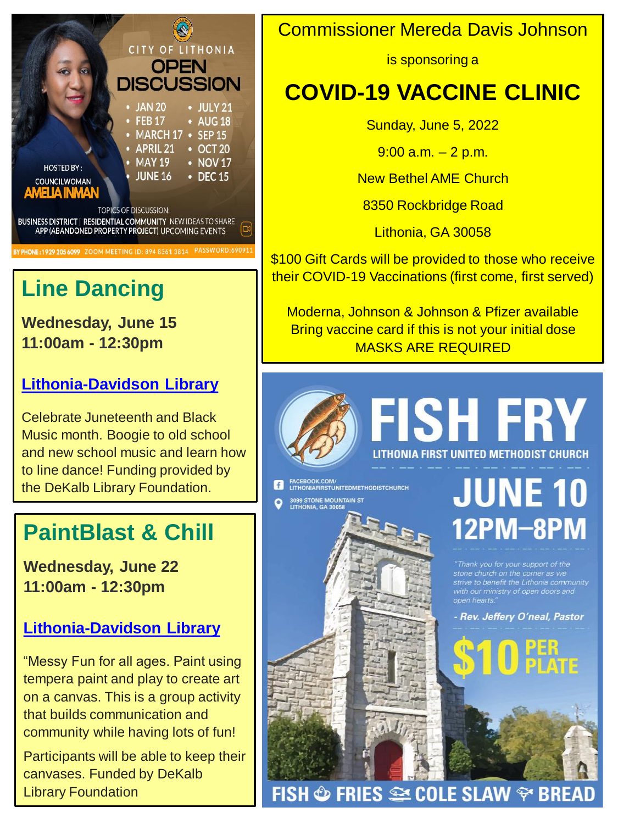

## **Line Dancing**

**Wednesday, June 15 11:00am - 12:30pm**

### **[Lithonia-Davidson Library](https://events.dekalblibrary.org/event/6673254#branch)**

Celebrate Juneteenth and Black Music month. Boogie to old school and new school music and learn how to line dance! Funding provided by the DeKalb Library Foundation.

## **PaintBlast & Chill**

**Wednesday, June 22 11:00am - 12:30pm**

#### **[Lithonia-Davidson Library](https://events.dekalblibrary.org/event/6675731#branch)**

"Messy Fun for all ages. Paint using tempera paint and play to create art on a canvas. This is a group activity that builds communication and community while having lots of fun!

Participants will be able to keep their canvases. Funded by DeKalb Library Foundation

## Commissioner Mereda Davis Johnson

is sponsoring a

## **COVID-19 VACCINE CLINIC**

Sunday, June 5, 2022

 $9:00$  a.m.  $-2$  p.m.

New Bethel AME Church

8350 Rockbridge Road

Lithonia, GA 30058

\$100 Gift Cards will be provided to those who receive their COVID-19 Vaccinations (first come, first served)

Moderna, Johnson & Johnson & Pfizer available Bring vaccine card if this is not your initial dose MASKS ARE REQUIRED

FISH � FRIES ���� COLE SLAW ���� BREAD



## FISH FRY LITHONIA FIRST UNITED METHODIST CHURCH

FACEBOOK.COM/<br>
LITHONIAFIRSTUNITEDMETHODISTCHURCH 3099 STONE MOUNTAIN ST<br>LITHONIA, GA 30058

**JUNE 10** 12PM-8PM

strive to benefit the Lithonia community<br>with our ministry of open doors and

- Rev. Jeffery O'neal, Pastor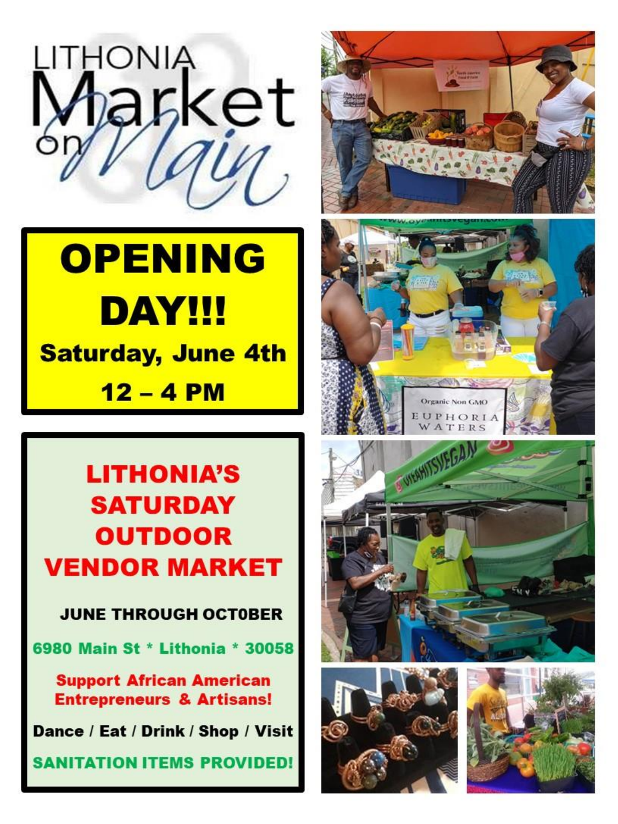

# **OPENING DAY!!! Saturday, June 4th**  $12 - 4$  PM

## **LITHONIA'S SATURDAY OUTDOOR VENDOR MARKET**

**JUNE THROUGH OCTOBER** 

6980 Main St \* Lithonia \* 30058

**Support African American Entrepreneurs & Artisans!** 

Dance / Eat / Drink / Shop / Visit

**SANITATION ITEMS PROVIDED!**